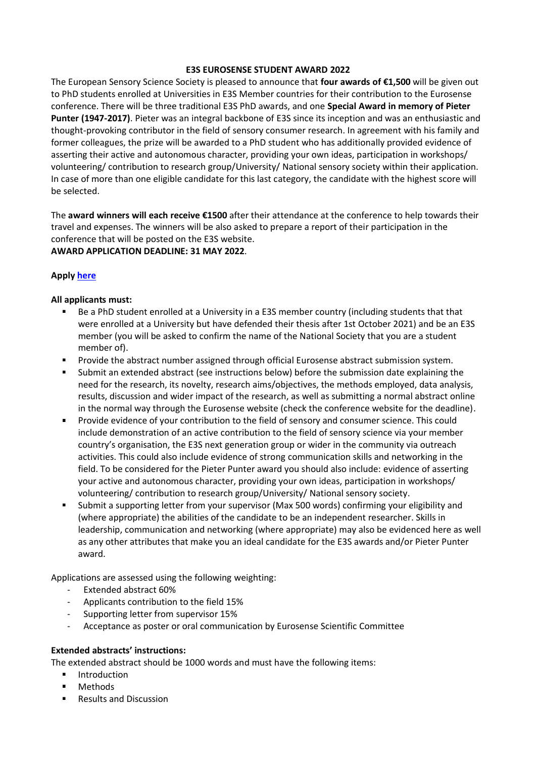## **E3S EUROSENSE STUDENT AWARD 2022**

The European Sensory Science Society is pleased to announce that **four awards of €1,500** will be given out to PhD students enrolled at Universities in E3S Member countries for their contribution to the Eurosense conference. There will be three traditional E3S PhD awards, and one **Special Award in memory of Pieter Punter (1947-2017)**. Pieter was an integral backbone of E3S since its inception and was an enthusiastic and thought-provoking contributor in the field of sensory consumer research. In agreement with his family and former colleagues, the prize will be awarded to a PhD student who has additionally provided evidence of asserting their active and autonomous character, providing your own ideas, participation in workshops/ volunteering/ contribution to research group/University/ National sensory society within their application. In case of more than one eligible candidate for this last category, the candidate with the highest score will be selected.

The **award winners will each receive €1500** after their attendance at the conference to help towards their travel and expenses. The winners will be also asked to prepare a report of their participation in the conference that will be posted on the E3S website. **AWARD APPLICATION DEADLINE: 31 MAY 2022**.

## **Appl[y here](https://docs.google.com/forms/d/12jhb7qVLn1OeB-e6MspSA1LJoSm3XMBDf_C7qH5nJWw/edit?ts=61a4d0d4)**

## **All applicants must:**

- Be a PhD student enrolled at a University in a E3S member country (including students that that were enrolled at a University but have defended their thesis after 1st October 2021) and be an E3S member (you will be asked to confirm the name of the National Society that you are a student member of).
- Provide the abstract number assigned through official Eurosense abstract submission system.
- Submit an extended abstract (see instructions below) before the submission date explaining the need for the research, its novelty, research aims/objectives, the methods employed, data analysis, results, discussion and wider impact of the research, as well as submitting a normal abstract online in the normal way through the Eurosense website (check the conference website for the deadline).
- $\blacksquare$ Provide evidence of your contribution to the field of sensory and consumer science. This could include demonstration of an active contribution to the field of sensory science via your member country's organisation, the E3S next generation group or wider in the community via outreach activities. This could also include evidence of strong communication skills and networking in the field. To be considered for the Pieter Punter award you should also include: evidence of asserting your active and autonomous character, providing your own ideas, participation in workshops/ volunteering/ contribution to research group/University/ National sensory society.
- Submit a supporting letter from your supervisor (Max 500 words) confirming your eligibility and (where appropriate) the abilities of the candidate to be an independent researcher. Skills in leadership, communication and networking (where appropriate) may also be evidenced here as well as any other attributes that make you an ideal candidate for the E3S awards and/or Pieter Punter award.

Applications are assessed using the following weighting:

- Extended abstract 60%
- Applicants contribution to the field 15%
- Supporting letter from supervisor 15%
- Acceptance as poster or oral communication by Eurosense Scientific Committee

## **Extended abstracts' instructions:**

The extended abstract should be 1000 words and must have the following items:

- Introduction  $\blacksquare$
- Methods
- Results and Discussion